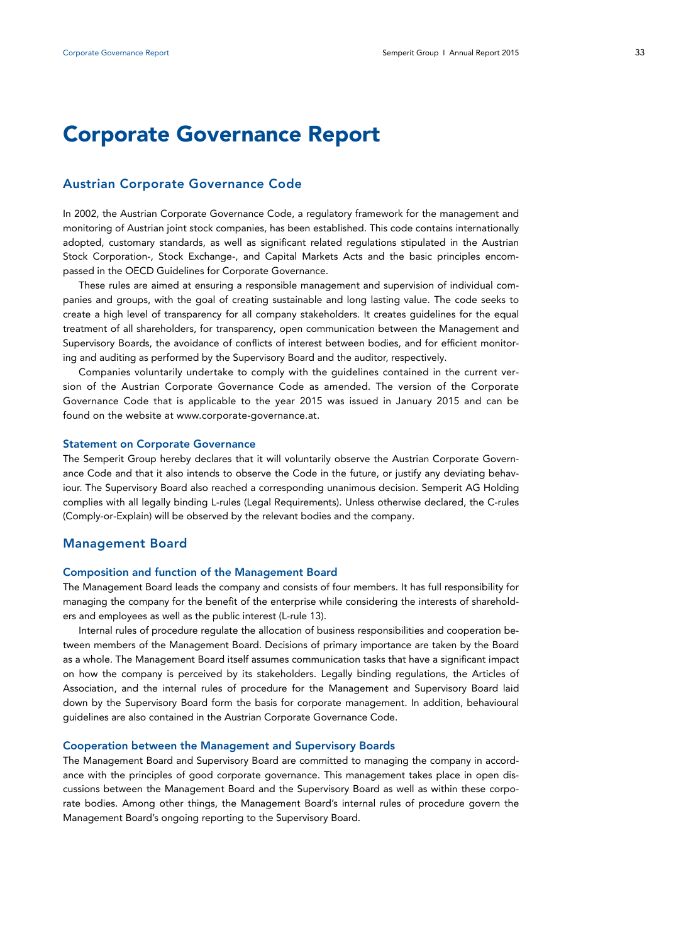# **Corporate Governance Report**

## **Austrian Corporate Governance Code**

In 2002, the Austrian Corporate Governance Code, a regulatory framework for the management and monitoring of Austrian joint stock companies, has been established. This code contains internationally adopted, customary standards, as well as significant related regulations stipulated in the Austrian Stock Corporation-, Stock Exchange-, and Capital Markets Acts and the basic principles encompassed in the OECD Guidelines for Corporate Governance.

These rules are aimed at ensuring a responsible management and supervision of individual companies and groups, with the goal of creating sustainable and long lasting value. The code seeks to create a high level of transparency for all company stakeholders. It creates guidelines for the equal treatment of all shareholders, for transparency, open communication between the Management and Supervisory Boards, the avoidance of conflicts of interest between bodies, and for efficient monitoring and auditing as performed by the Supervisory Board and the auditor, respectively.

Companies voluntarily undertake to comply with the guidelines contained in the current version of the Austrian Corporate Governance Code as amended. The version of the Corporate Governance Code that is applicable to the year 2015 was issued in January 2015 and can be found on the website at www.corporate-governance.at.

#### **Statement on Corporate Governance**

The Semperit Group hereby declares that it will voluntarily observe the Austrian Corporate Governance Code and that it also intends to observe the Code in the future, or justify any deviating behaviour. The Supervisory Board also reached a corresponding unanimous decision. Semperit AG Holding complies with all legally binding L-rules (Legal Requirements). Unless otherwise declared, the C-rules (Comply-or-Explain) will be observed by the relevant bodies and the company.

## **Management Board**

#### **Composition and function of the Management Board**

The Management Board leads the company and consists of four members. It has full responsibility for managing the company for the benefit of the enterprise while considering the interests of shareholders and employees as well as the public interest (L-rule 13).

Internal rules of procedure regulate the allocation of business responsibilities and cooperation between members of the Management Board. Decisions of primary importance are taken by the Board as a whole. The Management Board itself assumes communication tasks that have a significant impact on how the company is perceived by its stakeholders. Legally binding regulations, the Articles of Association, and the internal rules of procedure for the Management and Supervisory Board laid down by the Supervisory Board form the basis for corporate management. In addition, behavioural guidelines are also contained in the Austrian Corporate Governance Code.

#### **Cooperation between the Management and Supervisory Boards**

The Management Board and Supervisory Board are committed to managing the company in accordance with the principles of good corporate governance. This management takes place in open discussions between the Management Board and the Supervisory Board as well as within these corporate bodies. Among other things, the Management Board's internal rules of procedure govern the Management Board's ongoing reporting to the Supervisory Board.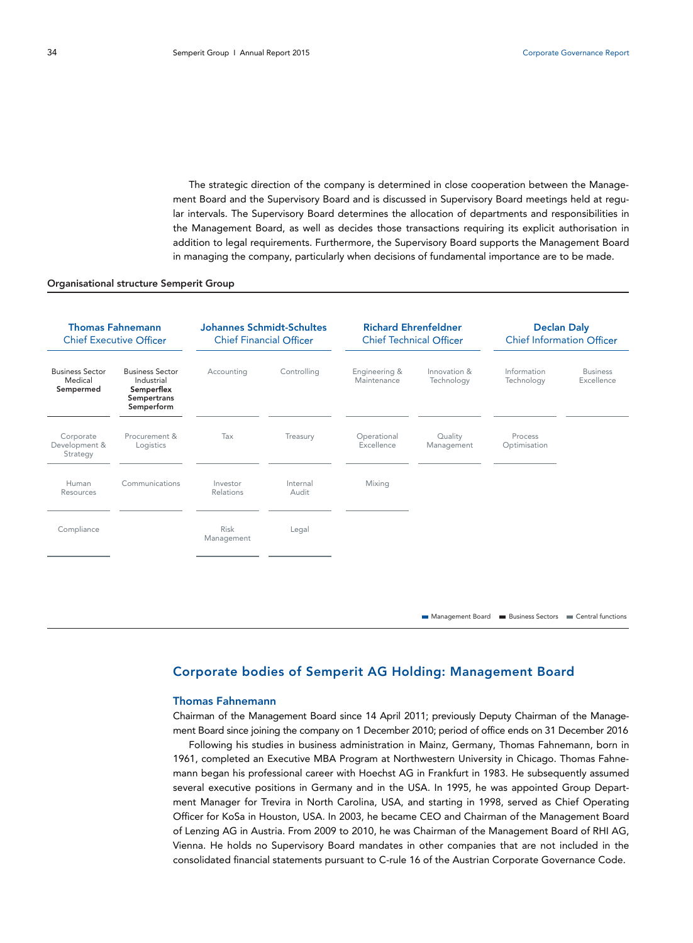The strategic direction of the company is determined in close cooperation between the Management Board and the Supervisory Board and is discussed in Supervisory Board meetings held at regular intervals. The Supervisory Board determines the allocation of departments and responsibilities in the Management Board, as well as decides those transactions requiring its explicit authorisation in addition to legal requirements. Furthermore, the Supervisory Board supports the Management Board in managing the company, particularly when decisions of fundamental importance are to be made.

#### Organisational structure Semperit Group

| <b>Thomas Fahnemann</b><br><b>Chief Executive Officer</b> |                                                                                        | <b>Johannes Schmidt-Schultes</b><br><b>Chief Financial Officer</b> |                   | <b>Richard Ehrenfeldner</b><br><b>Chief Technical Officer</b> |                            | <b>Declan Daly</b><br><b>Chief Information Officer</b> |                                                     |
|-----------------------------------------------------------|----------------------------------------------------------------------------------------|--------------------------------------------------------------------|-------------------|---------------------------------------------------------------|----------------------------|--------------------------------------------------------|-----------------------------------------------------|
| <b>Business Sector</b><br>Medical<br>Sempermed            | <b>Business Sector</b><br>Industrial<br>Semperflex<br><b>Sempertrans</b><br>Semperform | Accounting                                                         | Controlling       | Engineering &<br>Maintenance                                  | Innovation &<br>Technology | Information<br>Technology                              | <b>Business</b><br>Excellence                       |
| Corporate<br>Development &<br>Strategy                    | Procurement &<br>Logistics                                                             | Tax                                                                | Treasury          | Operational<br>Excellence                                     | Quality<br>Management      | Process<br>Optimisation                                |                                                     |
| Human<br>Resources                                        | Communications                                                                         | Investor<br>Relations                                              | Internal<br>Audit | Mixing                                                        |                            |                                                        |                                                     |
| Compliance                                                |                                                                                        | <b>Risk</b><br>Management                                          | Legal             |                                                               |                            |                                                        |                                                     |
|                                                           |                                                                                        |                                                                    |                   |                                                               |                            |                                                        |                                                     |
|                                                           |                                                                                        |                                                                    |                   |                                                               | Management Board           |                                                        | <b>Business Sectors Example 2</b> Central functions |

## **Corporate bodies of Semperit AG Holding: Management Board**

#### **Thomas Fahnemann**

Chairman of the Management Board since 14 April 2011; previously Deputy Chairman of the Management Board since joining the company on 1 December 2010; period of office ends on 31 December 2016

Following his studies in business administration in Mainz, Germany, Thomas Fahnemann, born in 1961, completed an Executive MBA Program at Northwestern University in Chicago. Thomas Fahnemann began his professional career with Hoechst AG in Frankfurt in 1983. He subsequently assumed several executive positions in Germany and in the USA. In 1995, he was appointed Group Department Manager for Trevira in North Carolina, USA, and starting in 1998, served as Chief Operating Officer for KoSa in Houston, USA. In 2003, he became CEO and Chairman of the Management Board of Lenzing AG in Austria. From 2009 to 2010, he was Chairman of the Management Board of RHI AG, Vienna. He holds no Supervisory Board mandates in other companies that are not included in the consolidated financial statements pursuant to C-rule 16 of the Austrian Corporate Governance Code.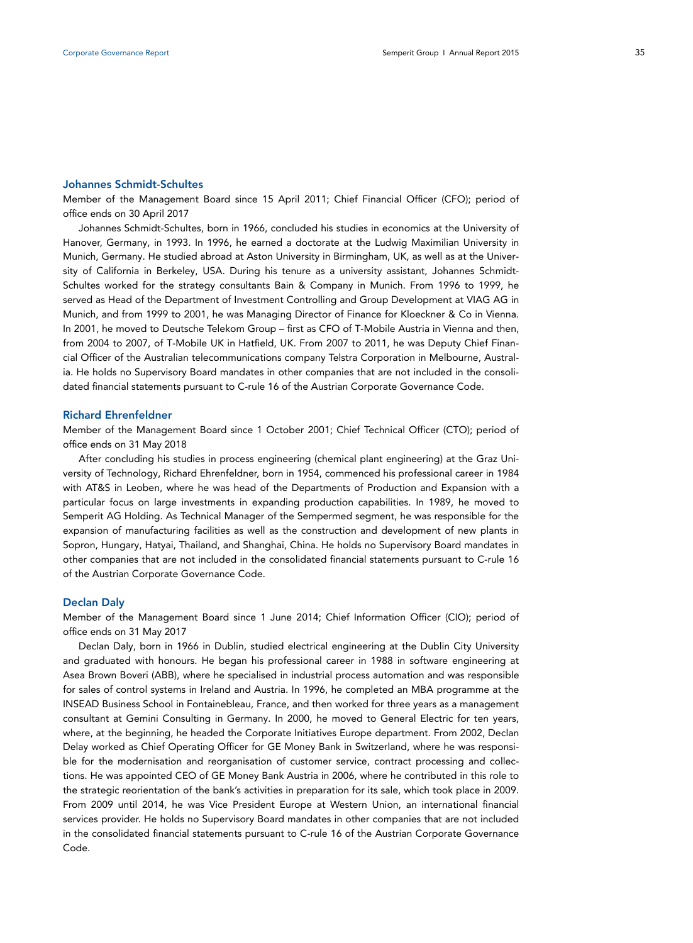#### **Johannes Schmidt-Schultes**

Member of the Management Board since 15 April 2011; Chief Financial Officer (CFO); period of office ends on 30 April 2017

Johannes Schmidt-Schultes, born in 1966, concluded his studies in economics at the University of Hanover, Germany, in 1993. In 1996, he earned a doctorate at the Ludwig Maximilian University in Munich, Germany. He studied abroad at Aston University in Birmingham, UK, as well as at the University of California in Berkeley, USA. During his tenure as a university assistant, Johannes Schmidt-Schultes worked for the strategy consultants Bain & Company in Munich. From 1996 to 1999, he served as Head of the Department of Investment Controlling and Group Development at VIAG AG in Munich, and from 1999 to 2001, he was Managing Director of Finance for Kloeckner & Co in Vienna. In 2001, he moved to Deutsche Telekom Group – first as CFO of T-Mobile Austria in Vienna and then, from 2004 to 2007, of T-Mobile UK in Hatfield, UK. From 2007 to 2011, he was Deputy Chief Financial Officer of the Australian telecommunications company Telstra Corporation in Melbourne, Australia. He holds no Supervisory Board mandates in other companies that are not included in the consolidated financial statements pursuant to C-rule 16 of the Austrian Corporate Governance Code.

#### **Richard Ehrenfeldner**

Member of the Management Board since 1 October 2001; Chief Technical Officer (CTO); period of office ends on 31 May 2018

After concluding his studies in process engineering (chemical plant engineering) at the Graz University of Technology, Richard Ehrenfeldner, born in 1954, commenced his professional career in 1984 with AT&S in Leoben, where he was head of the Departments of Production and Expansion with a particular focus on large investments in expanding production capabilities. In 1989, he moved to Semperit AG Holding. As Technical Manager of the Sempermed segment, he was responsible for the expansion of manufacturing facilities as well as the construction and development of new plants in Sopron, Hungary, Hatyai, Thailand, and Shanghai, China. He holds no Supervisory Board mandates in other companies that are not included in the consolidated financial statements pursuant to C-rule 16 of the Austrian Corporate Governance Code.

#### **Declan Daly**

Member of the Management Board since 1 June 2014; Chief Information Officer (CIO); period of office ends on 31 May 2017

Declan Daly, born in 1966 in Dublin, studied electrical engineering at the Dublin City University and graduated with honours. He began his professional career in 1988 in software engineering at Asea Brown Boveri (ABB), where he specialised in industrial process automation and was responsible for sales of control systems in Ireland and Austria. In 1996, he completed an MBA programme at the INSEAD Business School in Fontainebleau, France, and then worked for three years as a management consultant at Gemini Consulting in Germany. In 2000, he moved to General Electric for ten years, where, at the beginning, he headed the Corporate Initiatives Europe department. From 2002, Declan Delay worked as Chief Operating Officer for GE Money Bank in Switzerland, where he was responsible for the modernisation and reorganisation of customer service, contract processing and collections. He was appointed CEO of GE Money Bank Austria in 2006, where he contributed in this role to the strategic reorientation of the bank's activities in preparation for its sale, which took place in 2009. From 2009 until 2014, he was Vice President Europe at Western Union, an international financial services provider. He holds no Supervisory Board mandates in other companies that are not included in the consolidated financial statements pursuant to C-rule 16 of the Austrian Corporate Governance Code.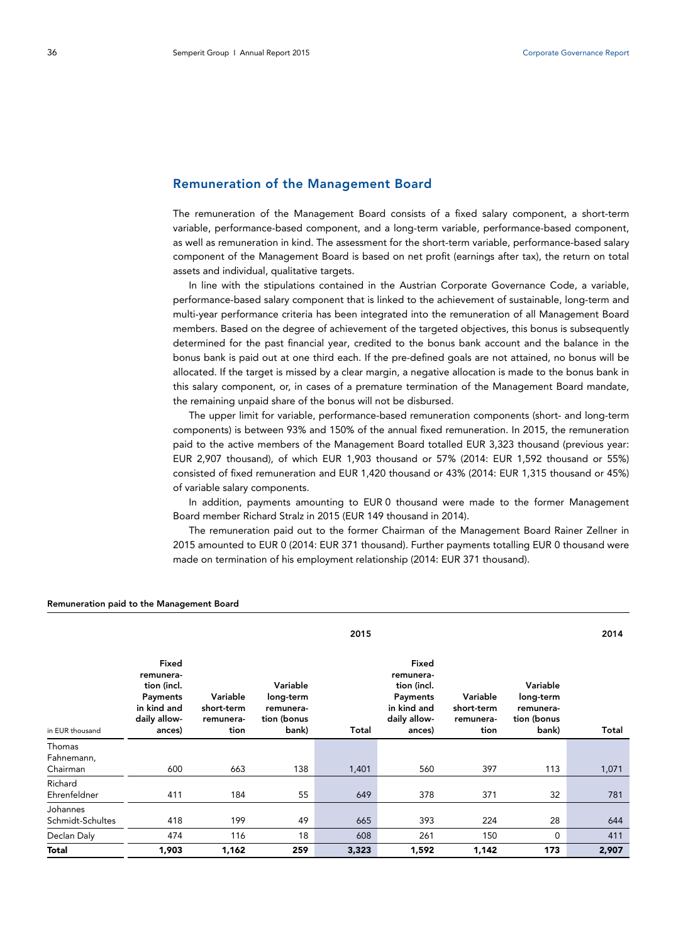## **Remuneration of the Management Board**

The remuneration of the Management Board consists of a fixed salary component, a short-term variable, performance-based component, and a long-term variable, performance-based component, as well as remuneration in kind. The assessment for the short-term variable, performance-based salary component of the Management Board is based on net profit (earnings after tax), the return on total assets and individual, qualitative targets.

In line with the stipulations contained in the Austrian Corporate Governance Code, a variable, performance-based salary component that is linked to the achievement of sustainable, long-term and multi-year performance criteria has been integrated into the remuneration of all Management Board members. Based on the degree of achievement of the targeted objectives, this bonus is subsequently determined for the past financial year, credited to the bonus bank account and the balance in the bonus bank is paid out at one third each. If the pre-defined goals are not attained, no bonus will be allocated. If the target is missed by a clear margin, a negative allocation is made to the bonus bank in this salary component, or, in cases of a premature termination of the Management Board mandate, the remaining unpaid share of the bonus will not be disbursed.

The upper limit for variable, performance-based remuneration components (short- and long-term components) is between 93% and 150% of the annual fixed remuneration. In 2015, the remuneration paid to the active members of the Management Board totalled EUR 3,323 thousand (previous year: EUR 2,907 thousand), of which EUR 1,903 thousand or 57% (2014: EUR 1,592 thousand or 55%) consisted of fixed remuneration and EUR 1,420 thousand or 43% (2014: EUR 1,315 thousand or 45%) of variable salary components.

In addition, payments amounting to EUR 0 thousand were made to the former Management Board member Richard Stralz in 2015 (EUR 149 thousand in 2014).

The remuneration paid out to the former Chairman of the Management Board Rainer Zellner in 2015 amounted to EUR 0 (2014: EUR 371 thousand). Further payments totalling EUR 0 thousand were made on termination of his employment relationship (2014: EUR 371 thousand).

|                              | 2015                                                                                   |                                             |                                                            |       |                                                                                        |                                             |                                                            |       |
|------------------------------|----------------------------------------------------------------------------------------|---------------------------------------------|------------------------------------------------------------|-------|----------------------------------------------------------------------------------------|---------------------------------------------|------------------------------------------------------------|-------|
| in EUR thousand              | Fixed<br>remunera-<br>tion (incl.<br>Payments<br>in kind and<br>daily allow-<br>ances) | Variable<br>short-term<br>remunera-<br>tion | Variable<br>long-term<br>remunera-<br>tion (bonus<br>bank) | Total | Fixed<br>remunera-<br>tion (incl.<br>Payments<br>in kind and<br>daily allow-<br>ances) | Variable<br>short-term<br>remunera-<br>tion | Variable<br>long-term<br>remunera-<br>tion (bonus<br>bank) | Total |
| Thomas<br>Fahnemann,         |                                                                                        |                                             |                                                            |       |                                                                                        |                                             |                                                            |       |
| Chairman                     | 600                                                                                    | 663                                         | 138                                                        | 1,401 | 560                                                                                    | 397                                         | 113                                                        | 1,071 |
| Richard<br>Ehrenfeldner      | 411                                                                                    | 184                                         | 55                                                         | 649   | 378                                                                                    | 371                                         | 32                                                         | 781   |
| Johannes<br>Schmidt-Schultes | 418                                                                                    | 199                                         | 49                                                         | 665   | 393                                                                                    | 224                                         | 28                                                         | 644   |
| Declan Daly                  | 474                                                                                    | 116                                         | 18                                                         | 608   | 261                                                                                    | 150                                         | $\mathbf 0$                                                | 411   |
| Total                        | 1,903                                                                                  | 1,162                                       | 259                                                        | 3,323 | 1,592                                                                                  | 1,142                                       | 173                                                        | 2,907 |

#### **Remuneration paid to the Management Board**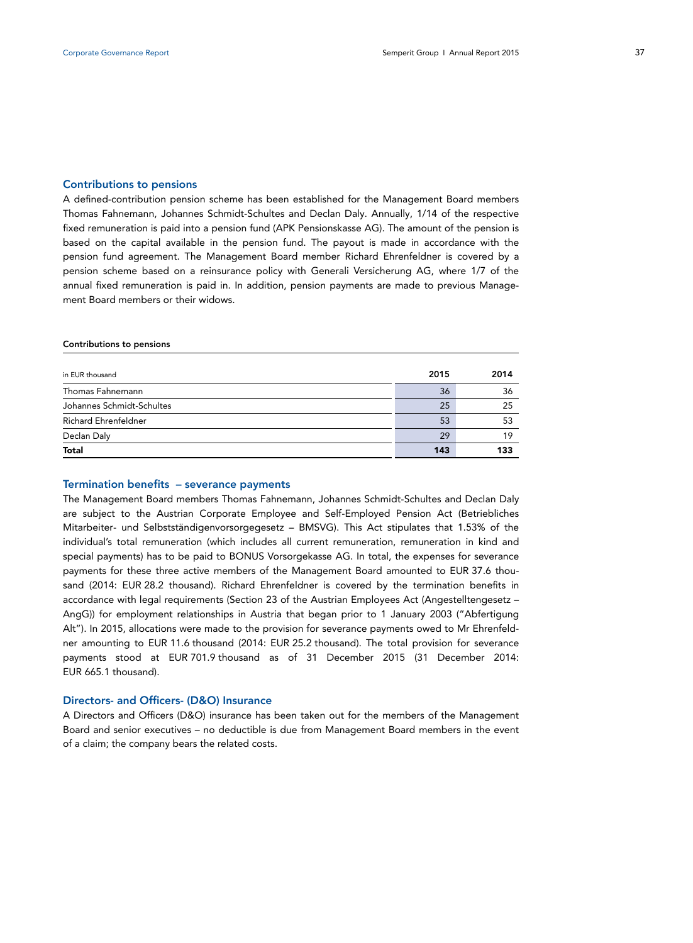#### **Contributions to pensions**

A defined-contribution pension scheme has been established for the Management Board members Thomas Fahnemann, Johannes Schmidt-Schultes and Declan Daly. Annually, 1/14 of the respective fixed remuneration is paid into a pension fund (APK Pensionskasse AG). The amount of the pension is based on the capital available in the pension fund. The payout is made in accordance with the pension fund agreement. The Management Board member Richard Ehrenfeldner is covered by a pension scheme based on a reinsurance policy with Generali Versicherung AG, where 1/7 of the annual fixed remuneration is paid in. In addition, pension payments are made to previous Management Board members or their widows.

#### **Contributions to pensions**

| in EUR thousand             | 2015 | 2014 |
|-----------------------------|------|------|
| Thomas Fahnemann            | 36   | 36   |
| Johannes Schmidt-Schultes   | 25   | 25   |
| <b>Richard Ehrenfeldner</b> | 53   | 53   |
| Declan Daly                 | 29   | 19   |
| <b>Total</b>                | 143  | 133  |

## **Termination benefits – severance payments**

The Management Board members Thomas Fahnemann, Johannes Schmidt-Schultes and Declan Daly are subject to the Austrian Corporate Employee and Self-Employed Pension Act (Betriebliches Mitarbeiter- und Selbstständigenvorsorgegesetz – BMSVG). This Act stipulates that 1.53% of the individual's total remuneration (which includes all current remuneration, remuneration in kind and special payments) has to be paid to BONUS Vorsorgekasse AG. In total, the expenses for severance payments for these three active members of the Management Board amounted to EUR 37.6 thousand (2014: EUR 28.2 thousand). Richard Ehrenfeldner is covered by the termination benefits in accordance with legal requirements (Section 23 of the Austrian Employees Act (Angestelltengesetz – AngG)) for employment relationships in Austria that began prior to 1 January 2003 ("Abfertigung Alt"). In 2015, allocations were made to the provision for severance payments owed to Mr Ehrenfeldner amounting to EUR 11.6 thousand (2014: EUR 25.2 thousand). The total provision for severance payments stood at EUR 701.9 thousand as of 31 December 2015 (31 December 2014: EUR 665.1 thousand).

#### **Directors- and Officers- (D&O) Insurance**

A Directors and Officers (D&O) insurance has been taken out for the members of the Management Board and senior executives – no deductible is due from Management Board members in the event of a claim; the company bears the related costs.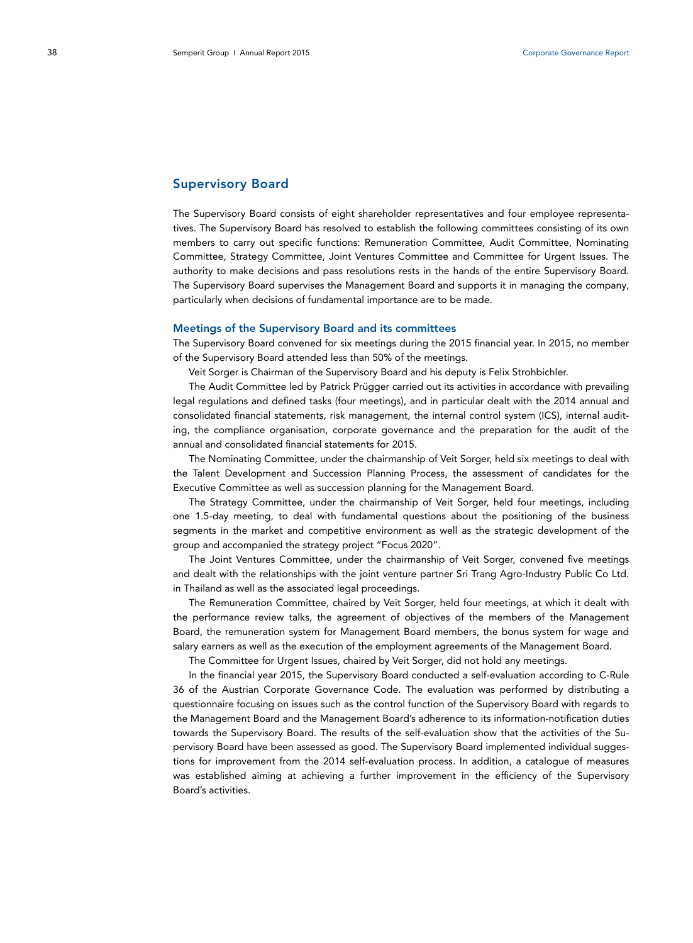## **Supervisory Board**

The Supervisory Board consists of eight shareholder representatives and four employee representatives. The Supervisory Board has resolved to establish the following committees consisting of its own members to carry out specific functions: Remuneration Committee, Audit Committee, Nominating Committee, Strategy Committee, Joint Ventures Committee and Committee for Urgent Issues. The authority to make decisions and pass resolutions rests in the hands of the entire Supervisory Board. The Supervisory Board supervises the Management Board and supports it in managing the company, particularly when decisions of fundamental importance are to be made.

#### **Meetings of the Supervisory Board and its committees**

The Supervisory Board convened for six meetings during the 2015 financial year. In 2015, no member of the Supervisory Board attended less than 50% of the meetings.

Veit Sorger is Chairman of the Supervisory Board and his deputy is Felix Strohbichler.

The Audit Committee led by Patrick Prügger carried out its activities in accordance with prevailing legal regulations and defined tasks (four meetings), and in particular dealt with the 2014 annual and consolidated financial statements, risk management, the internal control system (ICS), internal auditing, the compliance organisation, corporate governance and the preparation for the audit of the annual and consolidated financial statements for 2015.

The Nominating Committee, under the chairmanship of Veit Sorger, held six meetings to deal with the Talent Development and Succession Planning Process, the assessment of candidates for the Executive Committee as well as succession planning for the Management Board.

The Strategy Committee, under the chairmanship of Veit Sorger, held four meetings, including one 1.5-day meeting, to deal with fundamental questions about the positioning of the business segments in the market and competitive environment as well as the strategic development of the group and accompanied the strategy project "Focus 2020".

The Joint Ventures Committee, under the chairmanship of Veit Sorger, convened five meetings and dealt with the relationships with the joint venture partner Sri Trang Agro-Industry Public Co Ltd. in Thailand as well as the associated legal proceedings.

The Remuneration Committee, chaired by Veit Sorger, held four meetings, at which it dealt with the performance review talks, the agreement of objectives of the members of the Management Board, the remuneration system for Management Board members, the bonus system for wage and salary earners as well as the execution of the employment agreements of the Management Board.

The Committee for Urgent Issues, chaired by Veit Sorger, did not hold any meetings.

In the financial year 2015, the Supervisory Board conducted a self-evaluation according to C-Rule 36 of the Austrian Corporate Governance Code. The evaluation was performed by distributing a questionnaire focusing on issues such as the control function of the Supervisory Board with regards to the Management Board and the Management Board's adherence to its information-notification duties towards the Supervisory Board. The results of the self-evaluation show that the activities of the Supervisory Board have been assessed as good. The Supervisory Board implemented individual suggestions for improvement from the 2014 self-evaluation process. In addition, a catalogue of measures was established aiming at achieving a further improvement in the efficiency of the Supervisory Board's activities.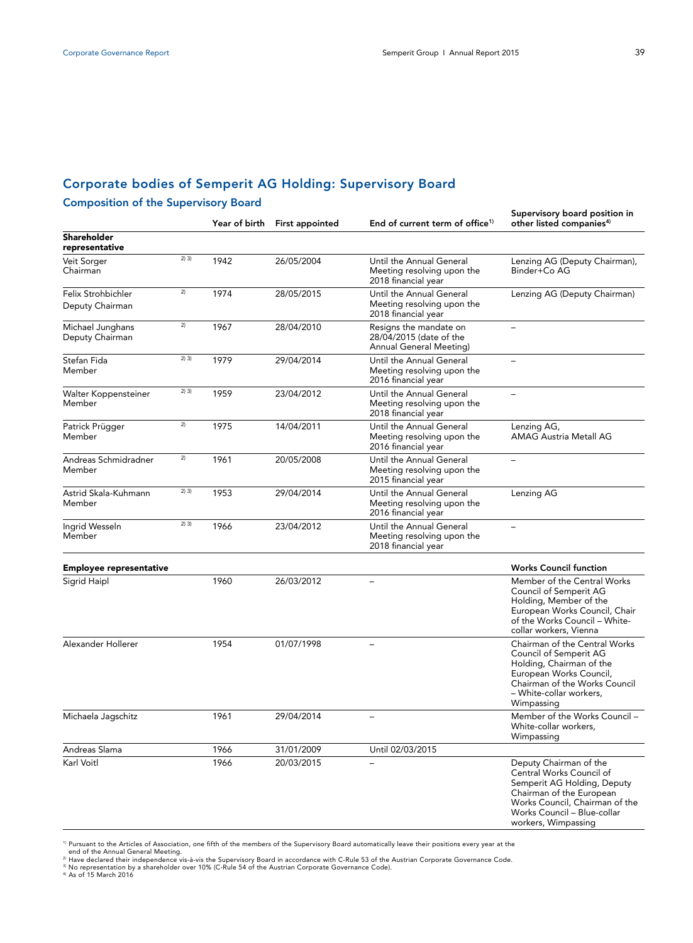# **Corporate bodies of Semperit AG Holding: Supervisory Board**

## **Composition of the Supervisory Board**

|                                             |       | Year of birth | <b>First appointed</b> | End of current term of office <sup>1)</sup>                                         | supervisory board position in<br>other listed companies <sup>4)</sup>                                                                                                                                 |  |
|---------------------------------------------|-------|---------------|------------------------|-------------------------------------------------------------------------------------|-------------------------------------------------------------------------------------------------------------------------------------------------------------------------------------------------------|--|
| <b>Shareholder</b><br>representative        |       |               |                        |                                                                                     |                                                                                                                                                                                                       |  |
| 2) 3)<br>Veit Sorger<br>Chairman            |       | 1942          | 26/05/2004             | Until the Annual General<br>Meeting resolving upon the<br>2018 financial year       | Lenzing AG (Deputy Chairman),<br>Binder+Co AG                                                                                                                                                         |  |
| 2)<br>Felix Strohbichler<br>Deputy Chairman |       | 1974          | 28/05/2015             | Until the Annual General<br>Meeting resolving upon the<br>2018 financial year       | Lenzing AG (Deputy Chairman)                                                                                                                                                                          |  |
| 2)<br>Michael Junghans<br>Deputy Chairman   |       | 1967          | 28/04/2010             | Resigns the mandate on<br>28/04/2015 (date of the<br><b>Annual General Meeting)</b> |                                                                                                                                                                                                       |  |
| Stefan Fida<br>Member                       | 2) 3) | 1979          | 29/04/2014             | Until the Annual General<br>Meeting resolving upon the<br>2016 financial year       |                                                                                                                                                                                                       |  |
| Walter Koppensteiner<br>Member              | 2) 3) | 1959          | 23/04/2012             | Until the Annual General<br>Meeting resolving upon the<br>2018 financial year       |                                                                                                                                                                                                       |  |
| Patrick Prügger<br>Member                   | 2)    | 1975          | 14/04/2011             | Until the Annual General<br>Meeting resolving upon the<br>2016 financial year       | Lenzing AG,<br><b>AMAG Austria Metall AG</b>                                                                                                                                                          |  |
| Andreas Schmidradner<br>Member              | 2)    | 1961          | 20/05/2008             | Until the Annual General<br>Meeting resolving upon the<br>2015 financial year       |                                                                                                                                                                                                       |  |
| Astrid Skala-Kuhmann<br>Member              | 2) 3) | 1953          | 29/04/2014             | Until the Annual General<br>Meeting resolving upon the<br>2016 financial year       | Lenzing AG                                                                                                                                                                                            |  |
| Ingrid Wesseln<br>Member                    | 2) 3) | 1966          | 23/04/2012             | Until the Annual General<br>Meeting resolving upon the<br>2018 financial year       |                                                                                                                                                                                                       |  |
| <b>Employee representative</b>              |       |               |                        |                                                                                     | <b>Works Council function</b>                                                                                                                                                                         |  |
| Sigrid Haipl                                |       | 1960          | 26/03/2012             |                                                                                     | Member of the Central Works<br>Council of Semperit AG<br>Holding, Member of the<br>European Works Council, Chair<br>of the Works Council - White-<br>collar workers, Vienna                           |  |
| Alexander Hollerer                          |       | 1954          | 01/07/1998             | $\overline{\phantom{0}}$                                                            | Chairman of the Central Works<br>Council of Semperit AG<br>Holding, Chairman of the<br>European Works Council,<br>Chairman of the Works Council<br>- White-collar workers,<br>Wimpassing              |  |
| Michaela Jagschitz                          |       | 1961          | 29/04/2014             |                                                                                     | Member of the Works Council -<br>White-collar workers,<br>Wimpassing                                                                                                                                  |  |
| Andreas Slama                               |       | 1966          | 31/01/2009             | Until 02/03/2015                                                                    |                                                                                                                                                                                                       |  |
| Karl Voitl                                  |       | 1966          | 20/03/2015             |                                                                                     | Deputy Chairman of the<br>Central Works Council of<br>Semperit AG Holding, Deputy<br>Chairman of the European<br>Works Council, Chairman of the<br>Works Council - Blue-collar<br>workers, Wimpassing |  |

<sup>1)</sup> Pursuant to the Articles of Association, one fifth of the members of the Supervisory Board automatically leave their positions every year at the<br><sup>21</sup> Have declared their independence vis-à-vis the Supervisory Board in

**Supervisory board position in**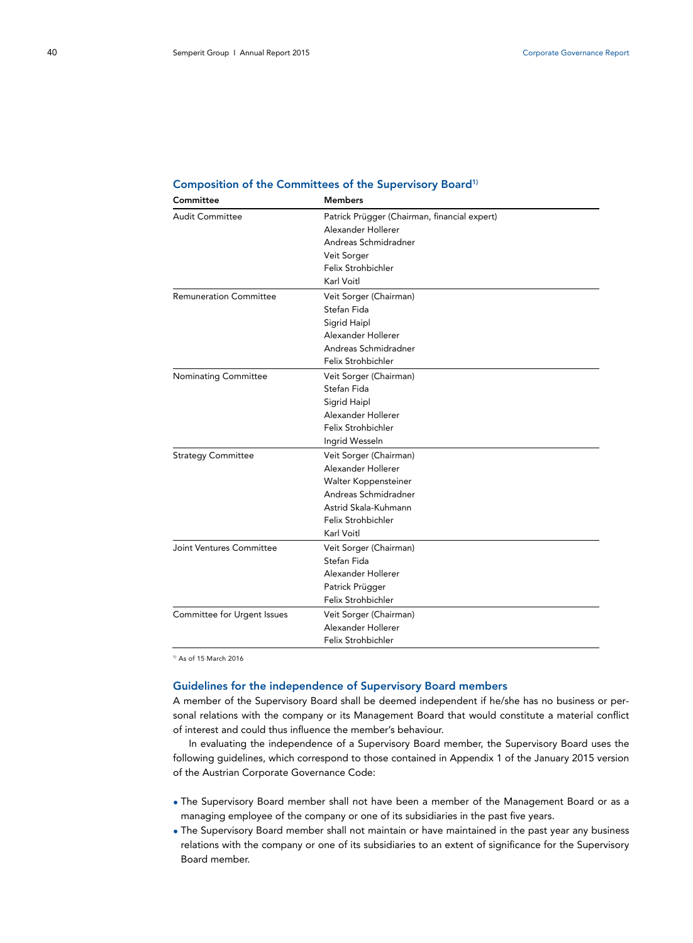| Committee                     | <b>Members</b>                               |  |
|-------------------------------|----------------------------------------------|--|
| <b>Audit Committee</b>        | Patrick Prügger (Chairman, financial expert) |  |
|                               | Alexander Hollerer                           |  |
|                               | Andreas Schmidradner                         |  |
|                               | Veit Sorger                                  |  |
|                               | Felix Strohbichler                           |  |
|                               | Karl Voitl                                   |  |
| <b>Remuneration Committee</b> | Veit Sorger (Chairman)                       |  |
|                               | Stefan Fida                                  |  |
|                               | Sigrid Haipl                                 |  |
|                               | Alexander Hollerer                           |  |
|                               | Andreas Schmidradner                         |  |
|                               | Felix Strohbichler                           |  |
| <b>Nominating Committee</b>   | Veit Sorger (Chairman)                       |  |
|                               | Stefan Fida                                  |  |
|                               | Sigrid Haipl                                 |  |
|                               | Alexander Hollerer                           |  |
|                               | Felix Strohbichler                           |  |
|                               | Ingrid Wesseln                               |  |
| <b>Strategy Committee</b>     | Veit Sorger (Chairman)                       |  |
|                               | Alexander Hollerer                           |  |
|                               | Walter Koppensteiner                         |  |
|                               | Andreas Schmidradner                         |  |
|                               | Astrid Skala-Kuhmann                         |  |
|                               | Felix Strohbichler                           |  |
|                               | Karl Voitl                                   |  |
| Joint Ventures Committee      | Veit Sorger (Chairman)                       |  |
|                               | Stefan Fida                                  |  |
|                               | Alexander Hollerer                           |  |
|                               | Patrick Prügger                              |  |
|                               | Felix Strohbichler                           |  |
| Committee for Urgent Issues   | Veit Sorger (Chairman)                       |  |
|                               | Alexander Hollerer                           |  |
|                               | Felix Strohbichler                           |  |

#### **Composition of the Committees of the Supervisory Board1)**

1) As of 15 March 2016

## **Guidelines for the independence of Supervisory Board members**

A member of the Supervisory Board shall be deemed independent if he/she has no business or personal relations with the company or its Management Board that would constitute a material conflict of interest and could thus influence the member's behaviour.

In evaluating the independence of a Supervisory Board member, the Supervisory Board uses the following guidelines, which correspond to those contained in Appendix 1 of the January 2015 version of the Austrian Corporate Governance Code:

- The Supervisory Board member shall not have been a member of the Management Board or as a managing employee of the company or one of its subsidiaries in the past five years.
- The Supervisory Board member shall not maintain or have maintained in the past year any business relations with the company or one of its subsidiaries to an extent of significance for the Supervisory Board member.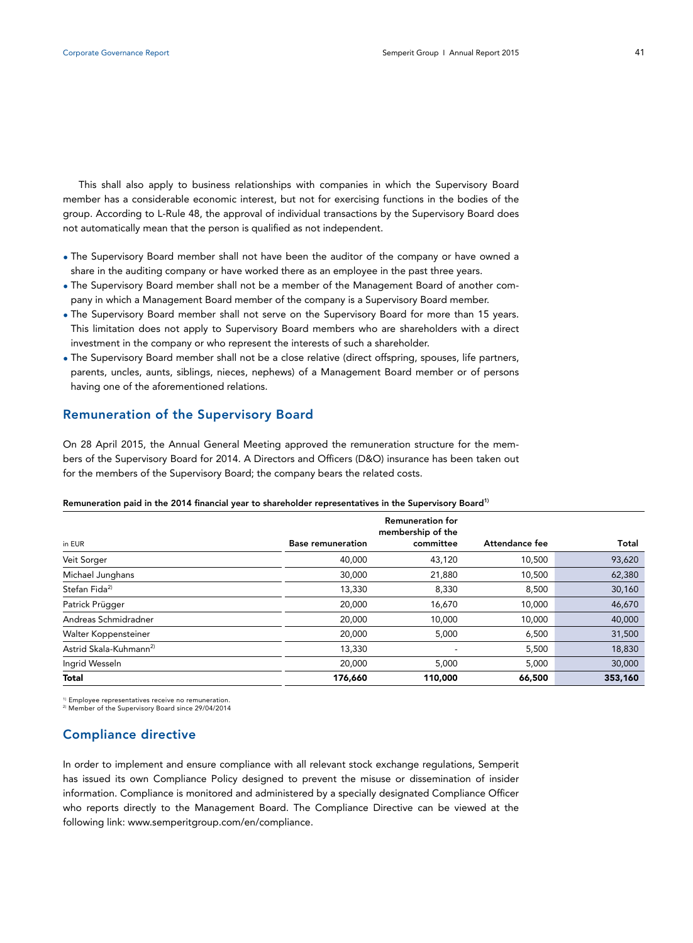This shall also apply to business relationships with companies in which the Supervisory Board member has a considerable economic interest, but not for exercising functions in the bodies of the group. According to L-Rule 48, the approval of individual transactions by the Supervisory Board does not automatically mean that the person is qualified as not independent.

- The Supervisory Board member shall not have been the auditor of the company or have owned a share in the auditing company or have worked there as an employee in the past three years.
- The Supervisory Board member shall not be a member of the Management Board of another company in which a Management Board member of the company is a Supervisory Board member.
- The Supervisory Board member shall not serve on the Supervisory Board for more than 15 years. This limitation does not apply to Supervisory Board members who are shareholders with a direct investment in the company or who represent the interests of such a shareholder.
- The Supervisory Board member shall not be a close relative (direct offspring, spouses, life partners, parents, uncles, aunts, siblings, nieces, nephews) of a Management Board member or of persons having one of the aforementioned relations.

## **Remuneration of the Supervisory Board**

On 28 April 2015, the Annual General Meeting approved the remuneration structure for the members of the Supervisory Board for 2014. A Directors and Officers (D&O) insurance has been taken out for the members of the Supervisory Board; the company bears the related costs.

|                                    |                          | <b>Remuneration for</b><br>membership of the |                |         |
|------------------------------------|--------------------------|----------------------------------------------|----------------|---------|
| in EUR                             | <b>Base remuneration</b> | committee                                    | Attendance fee | Total   |
| Veit Sorger                        | 40,000                   | 43,120                                       | 10,500         | 93,620  |
| Michael Junghans                   | 30,000                   | 21,880                                       | 10,500         | 62,380  |
| Stefan Fida <sup>2)</sup>          | 13,330                   | 8,330                                        | 8,500          | 30,160  |
| Patrick Prügger                    | 20,000                   | 16,670                                       | 10,000         | 46,670  |
| Andreas Schmidradner               | 20,000                   | 10,000                                       | 10,000         | 40,000  |
| Walter Koppensteiner               | 20,000                   | 5,000                                        | 6,500          | 31,500  |
| Astrid Skala-Kuhmann <sup>2)</sup> | 13,330                   |                                              | 5,500          | 18,830  |
| Ingrid Wesseln                     | 20,000                   | 5,000                                        | 5,000          | 30,000  |
| <b>Total</b>                       | 176,660                  | 110,000                                      | 66,500         | 353,160 |

#### **Remuneration paid in the 2014 financial year to shareholder representatives in the Supervisory Board1)**

<sup>1)</sup> Employee representatives receive no remuneration.<br><sup>2)</sup> Member of the Supervisory Board since 29/04/2014

## **Compliance directive**

In order to implement and ensure compliance with all relevant stock exchange regulations, Semperit has issued its own Compliance Policy designed to prevent the misuse or dissemination of insider information. Compliance is monitored and administered by a specially designated Compliance Officer who reports directly to the Management Board. The Compliance Directive can be viewed at the following link: www.semperitgroup.com/en/compliance.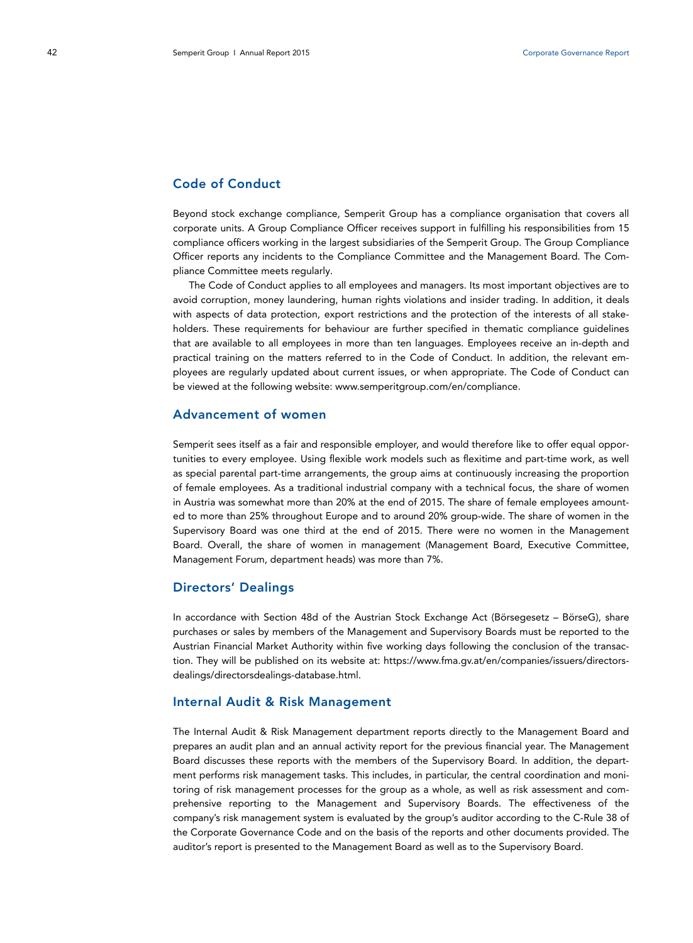## **Code of Conduct**

Beyond stock exchange compliance, Semperit Group has a compliance organisation that covers all corporate units. A Group Compliance Officer receives support in fulfilling his responsibilities from 15 compliance officers working in the largest subsidiaries of the Semperit Group. The Group Compliance Officer reports any incidents to the Compliance Committee and the Management Board. The Compliance Committee meets regularly.

The Code of Conduct applies to all employees and managers. Its most important objectives are to avoid corruption, money laundering, human rights violations and insider trading. In addition, it deals with aspects of data protection, export restrictions and the protection of the interests of all stakeholders. These requirements for behaviour are further specified in thematic compliance guidelines that are available to all employees in more than ten languages. Employees receive an in-depth and practical training on the matters referred to in the Code of Conduct. In addition, the relevant employees are regularly updated about current issues, or when appropriate. The Code of Conduct can be viewed at the following website: www.semperitgroup.com/en/compliance.

## **Advancement of women**

Semperit sees itself as a fair and responsible employer, and would therefore like to offer equal opportunities to every employee. Using flexible work models such as flexitime and part-time work, as well as special parental part-time arrangements, the group aims at continuously increasing the proportion of female employees. As a traditional industrial company with a technical focus, the share of women in Austria was somewhat more than 20% at the end of 2015. The share of female employees amounted to more than 25% throughout Europe and to around 20% group-wide. The share of women in the Supervisory Board was one third at the end of 2015. There were no women in the Management Board. Overall, the share of women in management (Management Board, Executive Committee, Management Forum, department heads) was more than 7%.

### **Directors' Dealings**

In accordance with Section 48d of the Austrian Stock Exchange Act (Börsegesetz – BörseG), share purchases or sales by members of the Management and Supervisory Boards must be reported to the Austrian Financial Market Authority within five working days following the conclusion of the transaction. They will be published on its website at: https://www.fma.gv.at/en/companies/issuers/directorsdealings/directorsdealings-database.html.

## **Internal Audit & Risk Management**

The Internal Audit & Risk Management department reports directly to the Management Board and prepares an audit plan and an annual activity report for the previous financial year. The Management Board discusses these reports with the members of the Supervisory Board. In addition, the department performs risk management tasks. This includes, in particular, the central coordination and monitoring of risk management processes for the group as a whole, as well as risk assessment and comprehensive reporting to the Management and Supervisory Boards. The effectiveness of the company's risk management system is evaluated by the group's auditor according to the C-Rule 38 of the Corporate Governance Code and on the basis of the reports and other documents provided. The auditor's report is presented to the Management Board as well as to the Supervisory Board.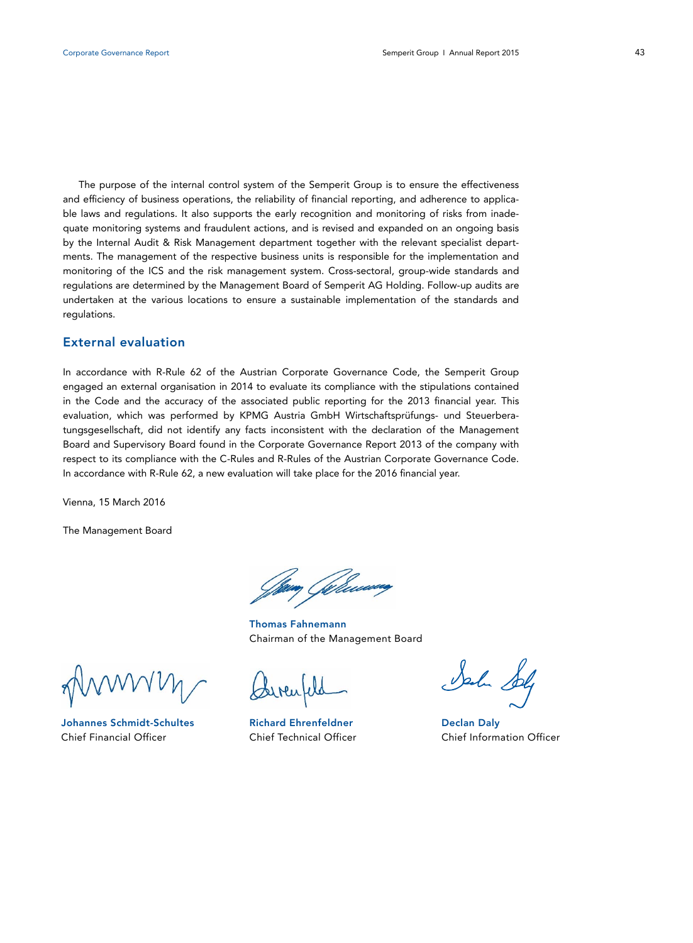The purpose of the internal control system of the Semperit Group is to ensure the effectiveness and efficiency of business operations, the reliability of financial reporting, and adherence to applicable laws and regulations. It also supports the early recognition and monitoring of risks from inadequate monitoring systems and fraudulent actions, and is revised and expanded on an ongoing basis by the Internal Audit & Risk Management department together with the relevant specialist departments. The management of the respective business units is responsible for the implementation and monitoring of the ICS and the risk management system. Cross-sectoral, group-wide standards and regulations are determined by the Management Board of Semperit AG Holding. Follow-up audits are undertaken at the various locations to ensure a sustainable implementation of the standards and regulations.

## **External evaluation**

In accordance with R-Rule 62 of the Austrian Corporate Governance Code, the Semperit Group engaged an external organisation in 2014 to evaluate its compliance with the stipulations contained in the Code and the accuracy of the associated public reporting for the 2013 financial year. This evaluation, which was performed by KPMG Austria GmbH Wirtschaftsprüfungs- und Steuerberatungsgesellschaft, did not identify any facts inconsistent with the declaration of the Management Board and Supervisory Board found in the Corporate Governance Report 2013 of the company with respect to its compliance with the C-Rules and R-Rules of the Austrian Corporate Governance Code. In accordance with R-Rule 62, a new evaluation will take place for the 2016 financial year.

Vienna, 15 March 2016

The Management Board

,<br>, *Gillesso*r

 **Thomas Fahnemann** Chairman of the Management Board

**Johannes Schmidt-Schultes** Chief Financial Officer

Garcufeld

**Richard Ehrenfeldner** Chief Technical Officer

John Solp

**Declan Daly** Chief Information Officer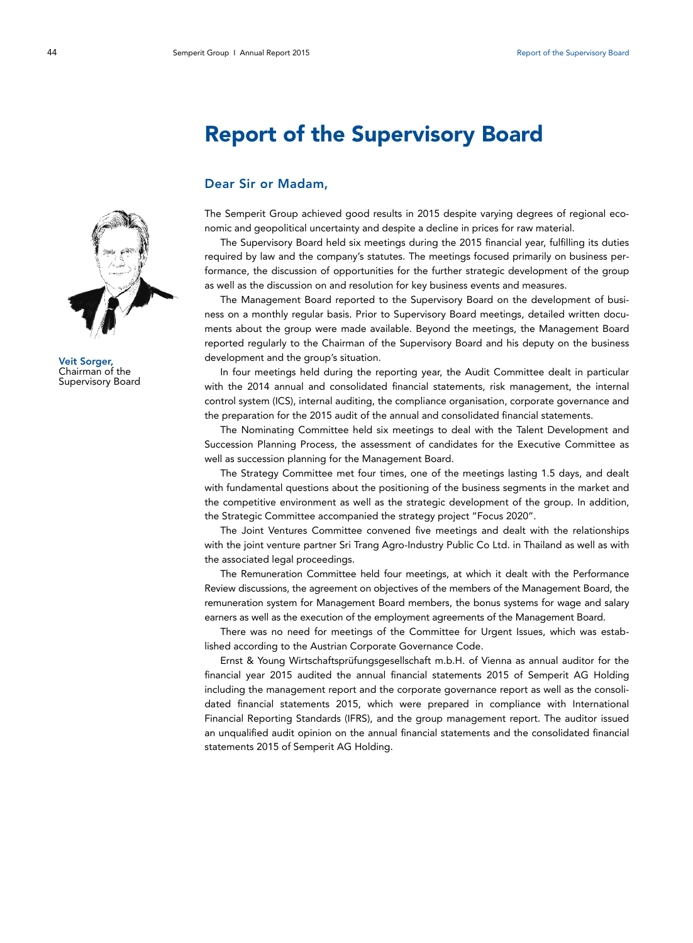# **Report of the Supervisory Board**

## **Dear Sir or Madam,**

The Semperit Group achieved good results in 2015 despite varying degrees of regional economic and geopolitical uncertainty and despite a decline in prices for raw material.

The Supervisory Board held six meetings during the 2015 financial year, fulfilling its duties required by law and the company's statutes. The meetings focused primarily on business performance, the discussion of opportunities for the further strategic development of the group as well as the discussion on and resolution for key business events and measures.

The Management Board reported to the Supervisory Board on the development of business on a monthly regular basis. Prior to Supervisory Board meetings, detailed written documents about the group were made available. Beyond the meetings, the Management Board reported regularly to the Chairman of the Supervisory Board and his deputy on the business development and the group's situation.

In four meetings held during the reporting year, the Audit Committee dealt in particular with the 2014 annual and consolidated financial statements, risk management, the internal control system (ICS), internal auditing, the compliance organisation, corporate governance and the preparation for the 2015 audit of the annual and consolidated financial statements.

The Nominating Committee held six meetings to deal with the Talent Development and Succession Planning Process, the assessment of candidates for the Executive Committee as well as succession planning for the Management Board.

The Strategy Committee met four times, one of the meetings lasting 1.5 days, and dealt with fundamental questions about the positioning of the business segments in the market and the competitive environment as well as the strategic development of the group. In addition, the Strategic Committee accompanied the strategy project "Focus 2020".

The Joint Ventures Committee convened five meetings and dealt with the relationships with the joint venture partner Sri Trang Agro-Industry Public Co Ltd. in Thailand as well as with the associated legal proceedings.

The Remuneration Committee held four meetings, at which it dealt with the Performance Review discussions, the agreement on objectives of the members of the Management Board, the remuneration system for Management Board members, the bonus systems for wage and salary earners as well as the execution of the employment agreements of the Management Board.

There was no need for meetings of the Committee for Urgent Issues, which was established according to the Austrian Corporate Governance Code.

Ernst & Young Wirtschaftsprüfungsgesellschaft m.b.H. of Vienna as annual auditor for the financial year 2015 audited the annual financial statements 2015 of Semperit AG Holding including the management report and the corporate governance report as well as the consolidated financial statements 2015, which were prepared in compliance with International Financial Reporting Standards (IFRS), and the group management report. The auditor issued an unqualified audit opinion on the annual financial statements and the consolidated financial statements 2015 of Semperit AG Holding.



**Veit Sorger,**  Chairman of the Supervisory Board